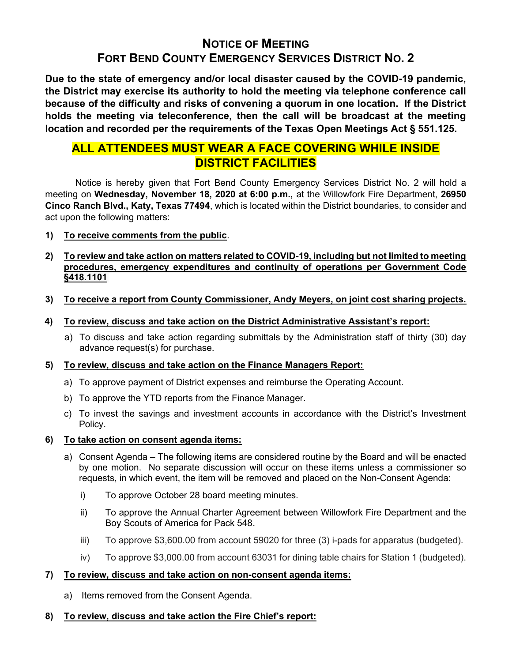# NOTICE OF MEETING FORT BEND COUNTY EMERGENCY SERVICES DISTRICT NO. 2

Due to the state of emergency and/or local disaster caused by the COVID-19 pandemic, the District may exercise its authority to hold the meeting via telephone conference call because of the difficulty and risks of convening a quorum in one location. If the District holds the meeting via teleconference, then the call will be broadcast at the meeting location and recorded per the requirements of the Texas Open Meetings Act § 551.125.

## ALL ATTENDEES MUST WEAR A FACE COVERING WHILE INSIDE DISTRICT FACILITIES

 Notice is hereby given that Fort Bend County Emergency Services District No. 2 will hold a meeting on Wednesday, November 18, 2020 at 6:00 p.m., at the Willowfork Fire Department, 26950 Cinco Ranch Blvd., Katy, Texas 77494, which is located within the District boundaries, to consider and act upon the following matters:

1) To receive comments from the public.

## 2) To review and take action on matters related to COVID-19, including but not limited to meeting procedures, emergency expenditures and continuity of operations per Government Code §418.1101.

- 3) To receive a report from County Commissioner, Andy Meyers, on joint cost sharing projects.
- 4) To review, discuss and take action on the District Administrative Assistant's report:
	- a) To discuss and take action regarding submittals by the Administration staff of thirty (30) day advance request(s) for purchase.

## 5) To review, discuss and take action on the Finance Managers Report:

- a) To approve payment of District expenses and reimburse the Operating Account.
- b) To approve the YTD reports from the Finance Manager.
- c) To invest the savings and investment accounts in accordance with the District's Investment Policy.
- 6) To take action on consent agenda items:
	- a) Consent Agenda The following items are considered routine by the Board and will be enacted by one motion. No separate discussion will occur on these items unless a commissioner so requests, in which event, the item will be removed and placed on the Non-Consent Agenda:
		- i) To approve October 28 board meeting minutes.
		- ii) To approve the Annual Charter Agreement between Willowfork Fire Department and the Boy Scouts of America for Pack 548.
		- iii) To approve \$3,600.00 from account 59020 for three (3) i-pads for apparatus (budgeted).
		- iv) To approve \$3,000.00 from account 63031 for dining table chairs for Station 1 (budgeted).

## 7) To review, discuss and take action on non-consent agenda items:

- a) Items removed from the Consent Agenda.
- 8) To review, discuss and take action the Fire Chief's report: